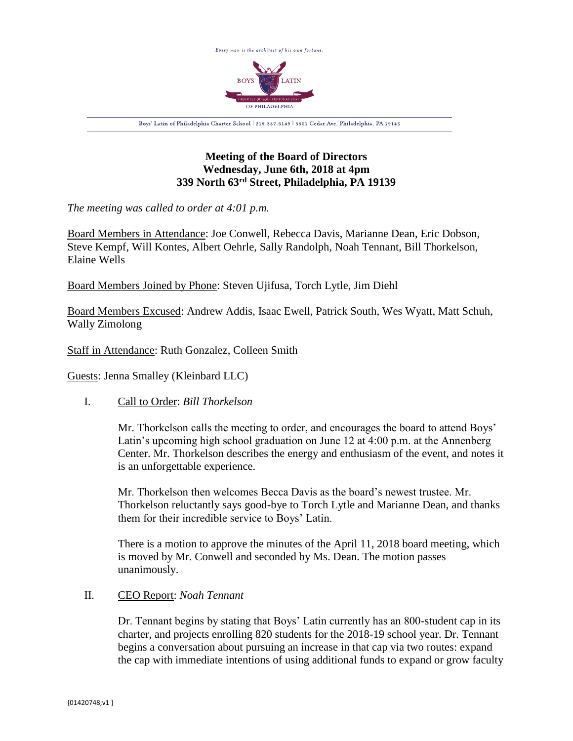

# **Meeting of the Board of Directors Wednesday, June 6th, 2018 at 4pm 339 North 63rd Street, Philadelphia, PA 19139**

*The meeting was called to order at 4:01 p.m.*

Board Members in Attendance: Joe Conwell, Rebecca Davis, Marianne Dean, Eric Dobson, Steve Kempf, Will Kontes, Albert Oehrle, Sally Randolph, Noah Tennant, Bill Thorkelson, Elaine Wells

Board Members Joined by Phone: Steven Ujifusa, Torch Lytle, Jim Diehl

Board Members Excused: Andrew Addis, Isaac Ewell, Patrick South, Wes Wyatt, Matt Schuh, Wally Zimolong

Staff in Attendance: Ruth Gonzalez, Colleen Smith

Guests: Jenna Smalley (Kleinbard LLC)

## I. Call to Order: *Bill Thorkelson*

Mr. Thorkelson calls the meeting to order, and encourages the board to attend Boys' Latin's upcoming high school graduation on June 12 at 4:00 p.m. at the Annenberg Center. Mr. Thorkelson describes the energy and enthusiasm of the event, and notes it is an unforgettable experience.

Mr. Thorkelson then welcomes Becca Davis as the board's newest trustee. Mr. Thorkelson reluctantly says good-bye to Torch Lytle and Marianne Dean, and thanks them for their incredible service to Boys' Latin.

There is a motion to approve the minutes of the April 11, 2018 board meeting, which is moved by Mr. Conwell and seconded by Ms. Dean. The motion passes unanimously.

## II. CEO Report: *Noah Tennant*

Dr. Tennant begins by stating that Boys' Latin currently has an 800-student cap in its charter, and projects enrolling 820 students for the 2018-19 school year. Dr. Tennant begins a conversation about pursuing an increase in that cap via two routes: expand the cap with immediate intentions of using additional funds to expand or grow faculty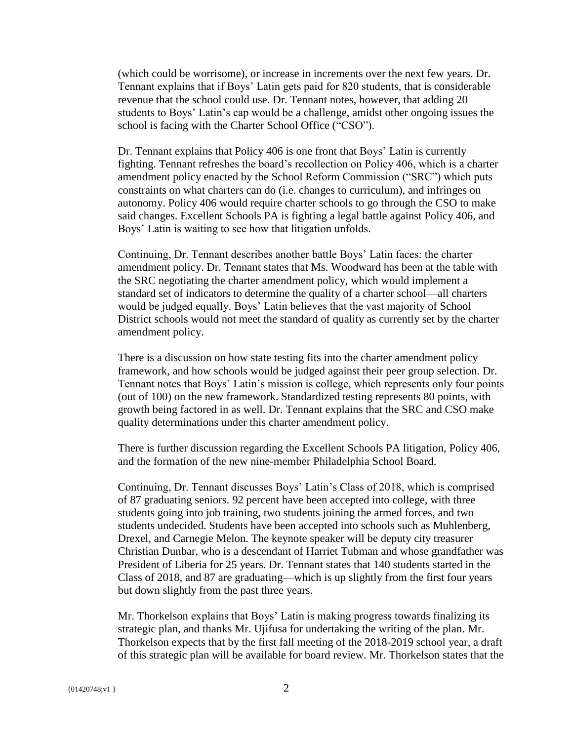(which could be worrisome), or increase in increments over the next few years. Dr. Tennant explains that if Boys' Latin gets paid for 820 students, that is considerable revenue that the school could use. Dr. Tennant notes, however, that adding 20 students to Boys' Latin's cap would be a challenge, amidst other ongoing issues the school is facing with the Charter School Office ("CSO").

Dr. Tennant explains that Policy 406 is one front that Boys' Latin is currently fighting. Tennant refreshes the board's recollection on Policy 406, which is a charter amendment policy enacted by the School Reform Commission ("SRC") which puts constraints on what charters can do (i.e. changes to curriculum), and infringes on autonomy. Policy 406 would require charter schools to go through the CSO to make said changes. Excellent Schools PA is fighting a legal battle against Policy 406, and Boys' Latin is waiting to see how that litigation unfolds.

Continuing, Dr. Tennant describes another battle Boys' Latin faces: the charter amendment policy. Dr. Tennant states that Ms. Woodward has been at the table with the SRC negotiating the charter amendment policy, which would implement a standard set of indicators to determine the quality of a charter school—all charters would be judged equally. Boys' Latin believes that the vast majority of School District schools would not meet the standard of quality as currently set by the charter amendment policy.

There is a discussion on how state testing fits into the charter amendment policy framework, and how schools would be judged against their peer group selection. Dr. Tennant notes that Boys' Latin's mission is college, which represents only four points (out of 100) on the new framework. Standardized testing represents 80 points, with growth being factored in as well. Dr. Tennant explains that the SRC and CSO make quality determinations under this charter amendment policy.

There is further discussion regarding the Excellent Schools PA litigation, Policy 406, and the formation of the new nine-member Philadelphia School Board.

Continuing, Dr. Tennant discusses Boys' Latin's Class of 2018, which is comprised of 87 graduating seniors. 92 percent have been accepted into college, with three students going into job training, two students joining the armed forces, and two students undecided. Students have been accepted into schools such as Muhlenberg, Drexel, and Carnegie Melon. The keynote speaker will be deputy city treasurer Christian Dunbar, who is a descendant of Harriet Tubman and whose grandfather was President of Liberia for 25 years. Dr. Tennant states that 140 students started in the Class of 2018, and 87 are graduating—which is up slightly from the first four years but down slightly from the past three years.

Mr. Thorkelson explains that Boys' Latin is making progress towards finalizing its strategic plan, and thanks Mr. Ujifusa for undertaking the writing of the plan. Mr. Thorkelson expects that by the first fall meeting of the 2018-2019 school year, a draft of this strategic plan will be available for board review. Mr. Thorkelson states that the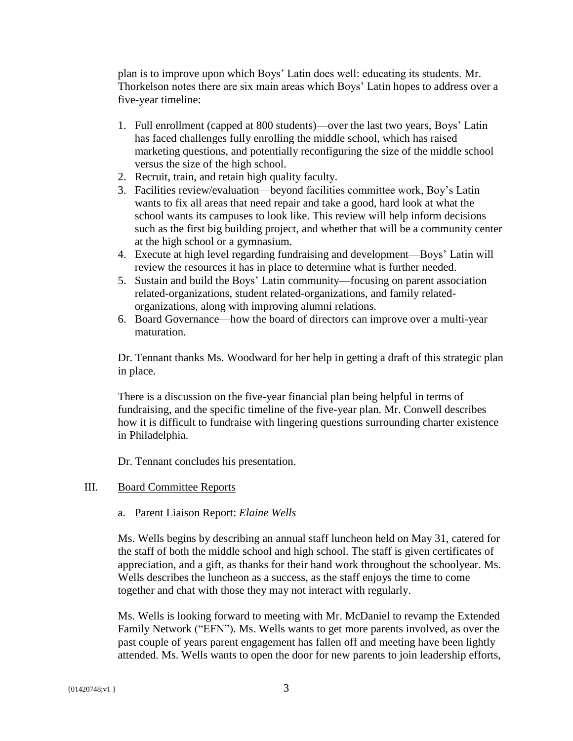plan is to improve upon which Boys' Latin does well: educating its students. Mr. Thorkelson notes there are six main areas which Boys' Latin hopes to address over a five-year timeline:

- 1. Full enrollment (capped at 800 students)—over the last two years, Boys' Latin has faced challenges fully enrolling the middle school, which has raised marketing questions, and potentially reconfiguring the size of the middle school versus the size of the high school.
- 2. Recruit, train, and retain high quality faculty.
- 3. Facilities review/evaluation—beyond facilities committee work, Boy's Latin wants to fix all areas that need repair and take a good, hard look at what the school wants its campuses to look like. This review will help inform decisions such as the first big building project, and whether that will be a community center at the high school or a gymnasium.
- 4. Execute at high level regarding fundraising and development—Boys' Latin will review the resources it has in place to determine what is further needed.
- 5. Sustain and build the Boys' Latin community—focusing on parent association related-organizations, student related-organizations, and family relatedorganizations, along with improving alumni relations.
- 6. Board Governance—how the board of directors can improve over a multi-year maturation.

Dr. Tennant thanks Ms. Woodward for her help in getting a draft of this strategic plan in place.

There is a discussion on the five-year financial plan being helpful in terms of fundraising, and the specific timeline of the five-year plan. Mr. Conwell describes how it is difficult to fundraise with lingering questions surrounding charter existence in Philadelphia.

Dr. Tennant concludes his presentation.

## III. Board Committee Reports

## a. Parent Liaison Report: *Elaine Wells*

Ms. Wells begins by describing an annual staff luncheon held on May 31, catered for the staff of both the middle school and high school. The staff is given certificates of appreciation, and a gift, as thanks for their hand work throughout the schoolyear. Ms. Wells describes the luncheon as a success, as the staff enjoys the time to come together and chat with those they may not interact with regularly.

Ms. Wells is looking forward to meeting with Mr. McDaniel to revamp the Extended Family Network ("EFN"). Ms. Wells wants to get more parents involved, as over the past couple of years parent engagement has fallen off and meeting have been lightly attended. Ms. Wells wants to open the door for new parents to join leadership efforts,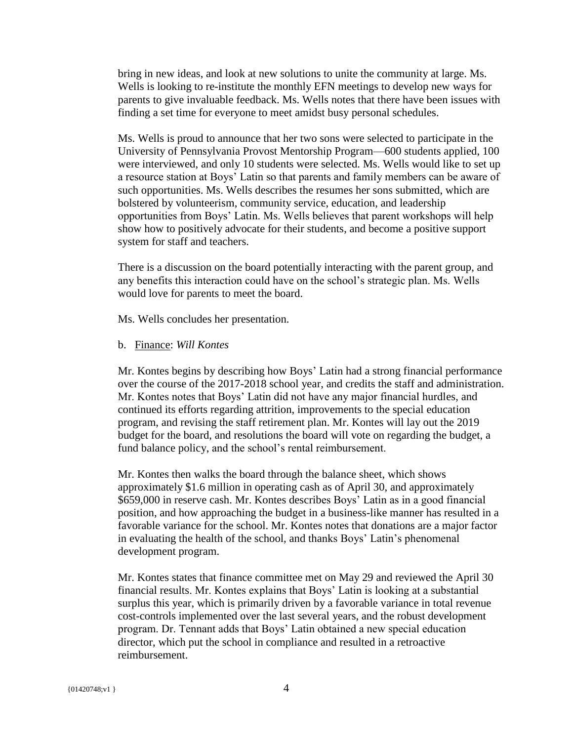bring in new ideas, and look at new solutions to unite the community at large. Ms. Wells is looking to re-institute the monthly EFN meetings to develop new ways for parents to give invaluable feedback. Ms. Wells notes that there have been issues with finding a set time for everyone to meet amidst busy personal schedules.

Ms. Wells is proud to announce that her two sons were selected to participate in the University of Pennsylvania Provost Mentorship Program—600 students applied, 100 were interviewed, and only 10 students were selected. Ms. Wells would like to set up a resource station at Boys' Latin so that parents and family members can be aware of such opportunities. Ms. Wells describes the resumes her sons submitted, which are bolstered by volunteerism, community service, education, and leadership opportunities from Boys' Latin. Ms. Wells believes that parent workshops will help show how to positively advocate for their students, and become a positive support system for staff and teachers.

There is a discussion on the board potentially interacting with the parent group, and any benefits this interaction could have on the school's strategic plan. Ms. Wells would love for parents to meet the board.

Ms. Wells concludes her presentation.

b. Finance: *Will Kontes*

Mr. Kontes begins by describing how Boys' Latin had a strong financial performance over the course of the 2017-2018 school year, and credits the staff and administration. Mr. Kontes notes that Boys' Latin did not have any major financial hurdles, and continued its efforts regarding attrition, improvements to the special education program, and revising the staff retirement plan. Mr. Kontes will lay out the 2019 budget for the board, and resolutions the board will vote on regarding the budget, a fund balance policy, and the school's rental reimbursement.

Mr. Kontes then walks the board through the balance sheet, which shows approximately \$1.6 million in operating cash as of April 30, and approximately \$659,000 in reserve cash. Mr. Kontes describes Boys' Latin as in a good financial position, and how approaching the budget in a business-like manner has resulted in a favorable variance for the school. Mr. Kontes notes that donations are a major factor in evaluating the health of the school, and thanks Boys' Latin's phenomenal development program.

Mr. Kontes states that finance committee met on May 29 and reviewed the April 30 financial results. Mr. Kontes explains that Boys' Latin is looking at a substantial surplus this year, which is primarily driven by a favorable variance in total revenue cost-controls implemented over the last several years, and the robust development program. Dr. Tennant adds that Boys' Latin obtained a new special education director, which put the school in compliance and resulted in a retroactive reimbursement.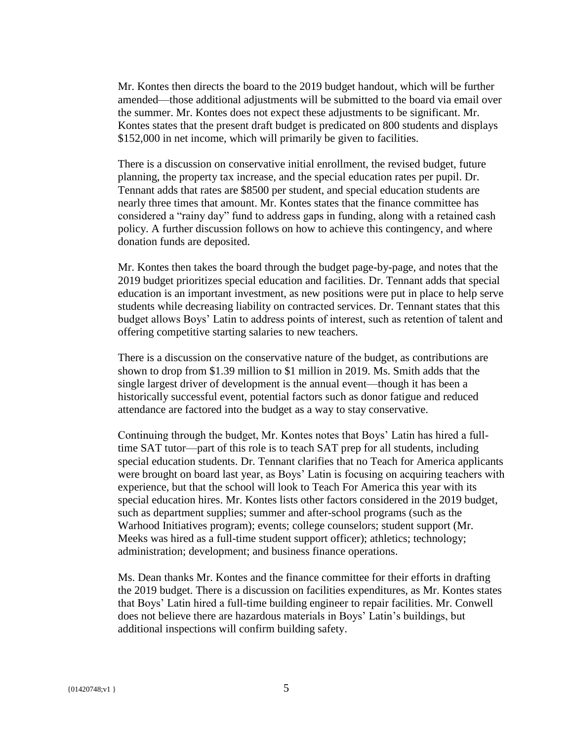Mr. Kontes then directs the board to the 2019 budget handout, which will be further amended—those additional adjustments will be submitted to the board via email over the summer. Mr. Kontes does not expect these adjustments to be significant. Mr. Kontes states that the present draft budget is predicated on 800 students and displays \$152,000 in net income, which will primarily be given to facilities.

There is a discussion on conservative initial enrollment, the revised budget, future planning, the property tax increase, and the special education rates per pupil. Dr. Tennant adds that rates are \$8500 per student, and special education students are nearly three times that amount. Mr. Kontes states that the finance committee has considered a "rainy day" fund to address gaps in funding, along with a retained cash policy. A further discussion follows on how to achieve this contingency, and where donation funds are deposited.

Mr. Kontes then takes the board through the budget page-by-page, and notes that the 2019 budget prioritizes special education and facilities. Dr. Tennant adds that special education is an important investment, as new positions were put in place to help serve students while decreasing liability on contracted services. Dr. Tennant states that this budget allows Boys' Latin to address points of interest, such as retention of talent and offering competitive starting salaries to new teachers.

There is a discussion on the conservative nature of the budget, as contributions are shown to drop from \$1.39 million to \$1 million in 2019. Ms. Smith adds that the single largest driver of development is the annual event—though it has been a historically successful event, potential factors such as donor fatigue and reduced attendance are factored into the budget as a way to stay conservative.

Continuing through the budget, Mr. Kontes notes that Boys' Latin has hired a fulltime SAT tutor—part of this role is to teach SAT prep for all students, including special education students. Dr. Tennant clarifies that no Teach for America applicants were brought on board last year, as Boys' Latin is focusing on acquiring teachers with experience, but that the school will look to Teach For America this year with its special education hires. Mr. Kontes lists other factors considered in the 2019 budget, such as department supplies; summer and after-school programs (such as the Warhood Initiatives program); events; college counselors; student support (Mr. Meeks was hired as a full-time student support officer); athletics; technology; administration; development; and business finance operations.

Ms. Dean thanks Mr. Kontes and the finance committee for their efforts in drafting the 2019 budget. There is a discussion on facilities expenditures, as Mr. Kontes states that Boys' Latin hired a full-time building engineer to repair facilities. Mr. Conwell does not believe there are hazardous materials in Boys' Latin's buildings, but additional inspections will confirm building safety.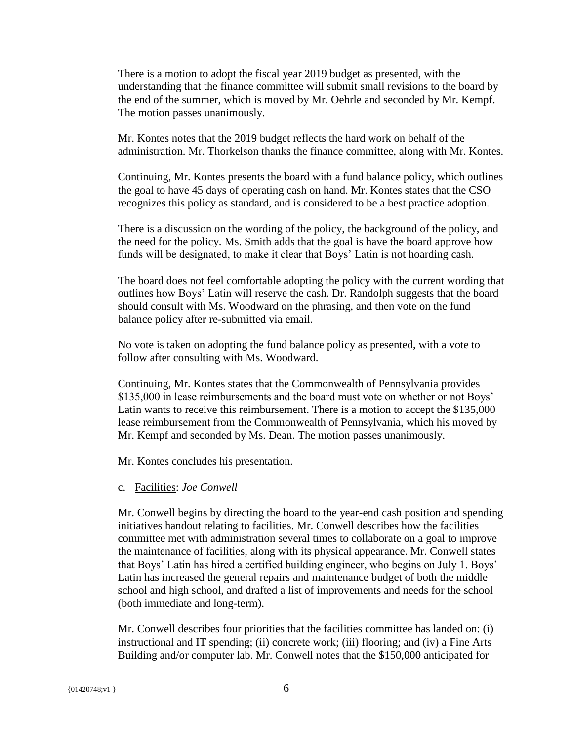There is a motion to adopt the fiscal year 2019 budget as presented, with the understanding that the finance committee will submit small revisions to the board by the end of the summer, which is moved by Mr. Oehrle and seconded by Mr. Kempf. The motion passes unanimously.

Mr. Kontes notes that the 2019 budget reflects the hard work on behalf of the administration. Mr. Thorkelson thanks the finance committee, along with Mr. Kontes.

Continuing, Mr. Kontes presents the board with a fund balance policy, which outlines the goal to have 45 days of operating cash on hand. Mr. Kontes states that the CSO recognizes this policy as standard, and is considered to be a best practice adoption.

There is a discussion on the wording of the policy, the background of the policy, and the need for the policy. Ms. Smith adds that the goal is have the board approve how funds will be designated, to make it clear that Boys' Latin is not hoarding cash.

The board does not feel comfortable adopting the policy with the current wording that outlines how Boys' Latin will reserve the cash. Dr. Randolph suggests that the board should consult with Ms. Woodward on the phrasing, and then vote on the fund balance policy after re-submitted via email.

No vote is taken on adopting the fund balance policy as presented, with a vote to follow after consulting with Ms. Woodward.

Continuing, Mr. Kontes states that the Commonwealth of Pennsylvania provides \$135,000 in lease reimbursements and the board must vote on whether or not Boys' Latin wants to receive this reimbursement. There is a motion to accept the \$135,000 lease reimbursement from the Commonwealth of Pennsylvania, which his moved by Mr. Kempf and seconded by Ms. Dean. The motion passes unanimously.

Mr. Kontes concludes his presentation.

c. Facilities: *Joe Conwell*

Mr. Conwell begins by directing the board to the year-end cash position and spending initiatives handout relating to facilities. Mr. Conwell describes how the facilities committee met with administration several times to collaborate on a goal to improve the maintenance of facilities, along with its physical appearance. Mr. Conwell states that Boys' Latin has hired a certified building engineer, who begins on July 1. Boys' Latin has increased the general repairs and maintenance budget of both the middle school and high school, and drafted a list of improvements and needs for the school (both immediate and long-term).

Mr. Conwell describes four priorities that the facilities committee has landed on: (i) instructional and IT spending; (ii) concrete work; (iii) flooring; and (iv) a Fine Arts Building and/or computer lab. Mr. Conwell notes that the \$150,000 anticipated for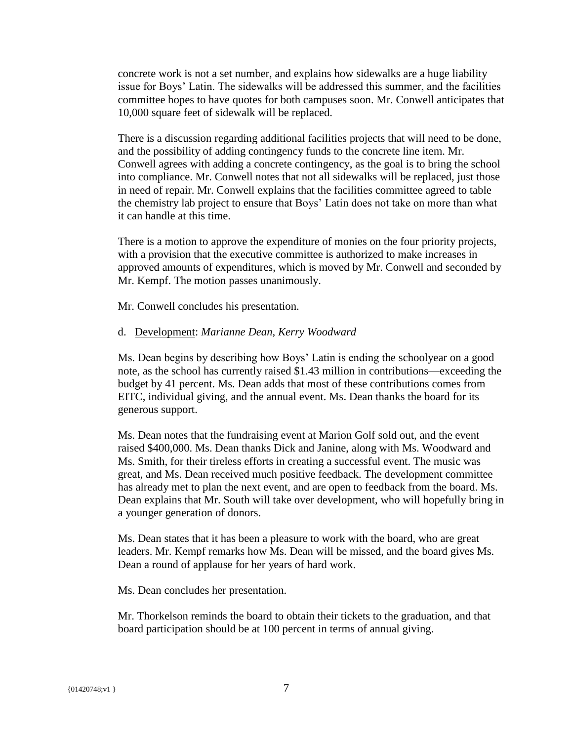concrete work is not a set number, and explains how sidewalks are a huge liability issue for Boys' Latin. The sidewalks will be addressed this summer, and the facilities committee hopes to have quotes for both campuses soon. Mr. Conwell anticipates that 10,000 square feet of sidewalk will be replaced.

There is a discussion regarding additional facilities projects that will need to be done, and the possibility of adding contingency funds to the concrete line item. Mr. Conwell agrees with adding a concrete contingency, as the goal is to bring the school into compliance. Mr. Conwell notes that not all sidewalks will be replaced, just those in need of repair. Mr. Conwell explains that the facilities committee agreed to table the chemistry lab project to ensure that Boys' Latin does not take on more than what it can handle at this time.

There is a motion to approve the expenditure of monies on the four priority projects, with a provision that the executive committee is authorized to make increases in approved amounts of expenditures, which is moved by Mr. Conwell and seconded by Mr. Kempf. The motion passes unanimously.

Mr. Conwell concludes his presentation.

## d. Development: *Marianne Dean, Kerry Woodward*

Ms. Dean begins by describing how Boys' Latin is ending the schoolyear on a good note, as the school has currently raised \$1.43 million in contributions—exceeding the budget by 41 percent. Ms. Dean adds that most of these contributions comes from EITC, individual giving, and the annual event. Ms. Dean thanks the board for its generous support.

Ms. Dean notes that the fundraising event at Marion Golf sold out, and the event raised \$400,000. Ms. Dean thanks Dick and Janine, along with Ms. Woodward and Ms. Smith, for their tireless efforts in creating a successful event. The music was great, and Ms. Dean received much positive feedback. The development committee has already met to plan the next event, and are open to feedback from the board. Ms. Dean explains that Mr. South will take over development, who will hopefully bring in a younger generation of donors.

Ms. Dean states that it has been a pleasure to work with the board, who are great leaders. Mr. Kempf remarks how Ms. Dean will be missed, and the board gives Ms. Dean a round of applause for her years of hard work.

Ms. Dean concludes her presentation.

Mr. Thorkelson reminds the board to obtain their tickets to the graduation, and that board participation should be at 100 percent in terms of annual giving.